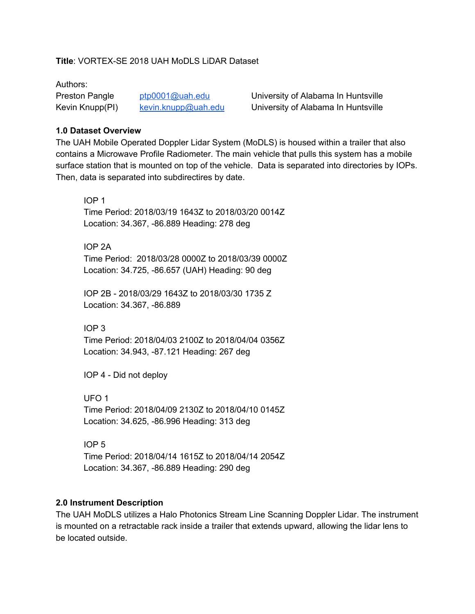### **Title**: VORTEX-SE 2018 UAH MoDLS LiDAR Dataset

#### Authors:

Preston Pangle [ptp0001@uah.edu](mailto:ptp0001@uah.edu) University of Alabama In Huntsville Kevin Knupp(PI) [kevin.knupp@uah.edu](mailto:kevin.knupp@uah.edu) University of Alabama In Huntsville

#### **1.0 Dataset Overview**

The UAH Mobile Operated Doppler Lidar System (MoDLS) is housed within a trailer that also contains a Microwave Profile Radiometer. The main vehicle that pulls this system has a mobile surface station that is mounted on top of the vehicle. Data is separated into directories by IOPs. Then, data is separated into subdirectires by date.

IOP 1 Time Period: 2018/03/19 1643Z to 2018/03/20 0014Z Location: 34.367, -86.889 Heading: 278 deg

IOP 2A Time Period: 2018/03/28 0000Z to 2018/03/39 0000Z Location: 34.725, -86.657 (UAH) Heading: 90 deg

IOP 2B - 2018/03/29 1643Z to 2018/03/30 1735 Z Location: 34.367, -86.889

IOP 3

Time Period: 2018/04/03 2100Z to 2018/04/04 0356Z Location: 34.943, -87.121 Heading: 267 deg

IOP 4 - Did not deploy

UFO 1 Time Period: 2018/04/09 2130Z to 2018/04/10 0145Z Location: 34.625, -86.996 Heading: 313 deg

IOP 5 Time Period: 2018/04/14 1615Z to 2018/04/14 2054Z Location: 34.367, -86.889 Heading: 290 deg

#### **2.0 Instrument Description**

The UAH MoDLS utilizes a Halo Photonics Stream Line Scanning Doppler Lidar. The instrument is mounted on a retractable rack inside a trailer that extends upward, allowing the lidar lens to be located outside.